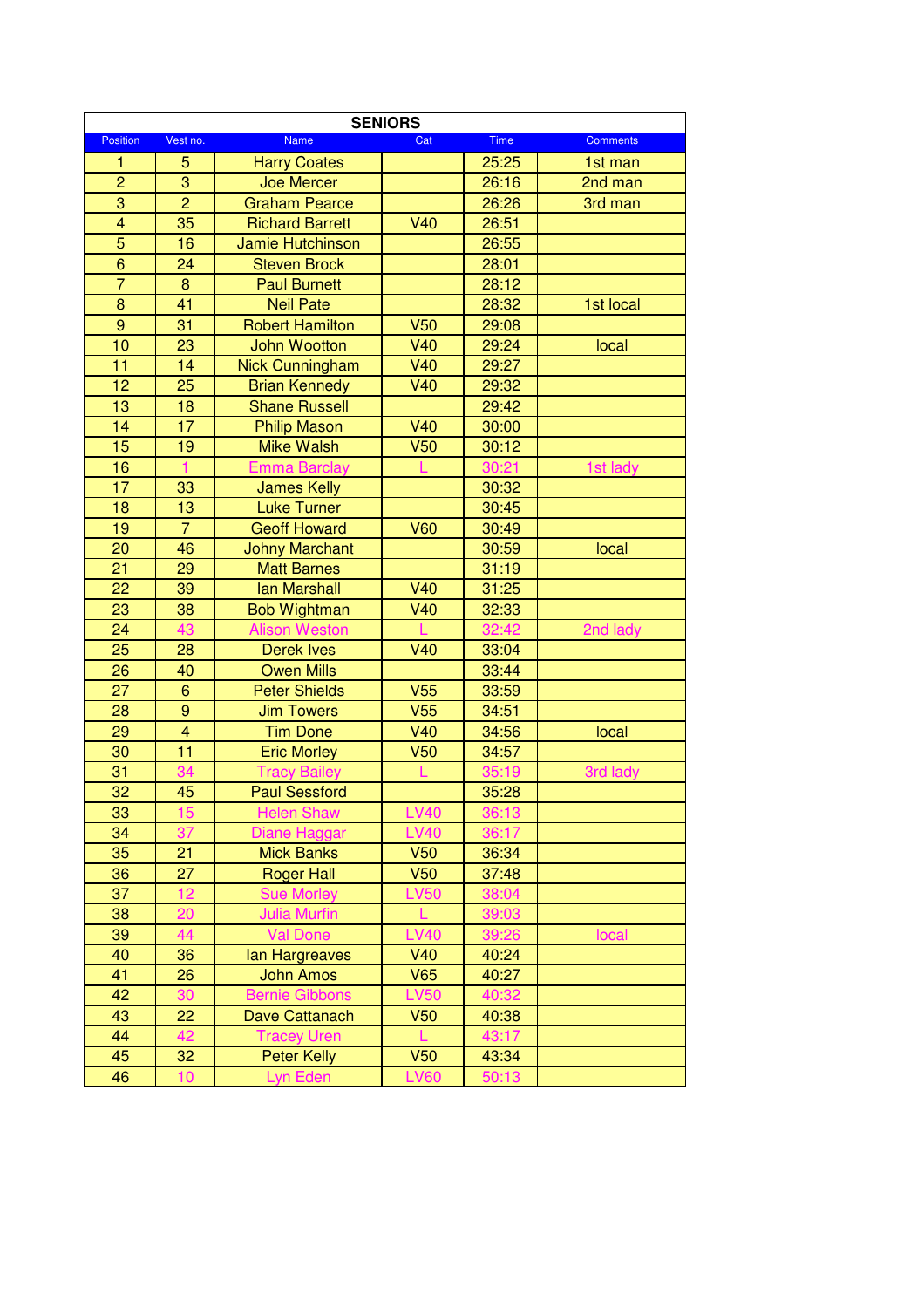| <b>SENIORS</b>  |                         |                        |                 |       |                 |  |  |
|-----------------|-------------------------|------------------------|-----------------|-------|-----------------|--|--|
| <b>Position</b> | Vest no.                | <b>Name</b>            | Cat             | Time  | <b>Comments</b> |  |  |
| 1               | 5                       | <b>Harry Coates</b>    |                 | 25:25 | 1st man         |  |  |
| $\overline{2}$  | 3                       | <b>Joe Mercer</b>      |                 | 26:16 | 2nd man         |  |  |
| $\overline{3}$  | $\overline{2}$          | <b>Graham Pearce</b>   |                 | 26:26 | 3rd man         |  |  |
| $\overline{4}$  | 35                      | <b>Richard Barrett</b> | V40             | 26:51 |                 |  |  |
| 5               | 16                      | Jamie Hutchinson       |                 | 26:55 |                 |  |  |
| 6               | 24                      | <b>Steven Brock</b>    |                 | 28:01 |                 |  |  |
| $\overline{7}$  | 8                       | <b>Paul Burnett</b>    |                 | 28:12 |                 |  |  |
| 8               | 41                      | <b>Neil Pate</b>       |                 | 28:32 | 1st local       |  |  |
| $\overline{9}$  | 31                      | <b>Robert Hamilton</b> | <b>V50</b>      | 29:08 |                 |  |  |
| 10              | 23                      | John Wootton           | <b>V40</b>      | 29:24 | local           |  |  |
| 11              | 14                      | <b>Nick Cunningham</b> | <b>V40</b>      | 29:27 |                 |  |  |
| 12              | 25                      | <b>Brian Kennedy</b>   | <b>V40</b>      | 29:32 |                 |  |  |
| 13              | 18                      | <b>Shane Russell</b>   |                 | 29:42 |                 |  |  |
| 14              | 17                      | <b>Philip Mason</b>    | V40             | 30:00 |                 |  |  |
| 15              | 19                      | <b>Mike Walsh</b>      | V <sub>50</sub> | 30:12 |                 |  |  |
| 16              | $\mathbf{1}$            | <b>Emma Barclay</b>    |                 | 30:21 | 1st lady        |  |  |
| 17              | 33                      | <b>James Kelly</b>     |                 | 30:32 |                 |  |  |
| 18              | 13                      | <b>Luke Turner</b>     |                 | 30:45 |                 |  |  |
| 19              | $\overline{7}$          | <b>Geoff Howard</b>    | <b>V60</b>      | 30:49 |                 |  |  |
| 20              | 46                      | <b>Johny Marchant</b>  |                 | 30:59 | local           |  |  |
| 21              | 29                      | <b>Matt Barnes</b>     |                 | 31:19 |                 |  |  |
| 22              | 39                      | <b>lan Marshall</b>    | <b>V40</b>      | 31:25 |                 |  |  |
| 23              | 38                      | <b>Bob Wightman</b>    | <b>V40</b>      | 32:33 |                 |  |  |
| 24              | 43                      | <b>Alison Weston</b>   |                 | 32:42 | 2nd lady        |  |  |
| 25              | 28                      | <b>Derek Ives</b>      | V40             | 33:04 |                 |  |  |
| 26              | 40                      | <b>Owen Mills</b>      |                 | 33:44 |                 |  |  |
| 27              | $\boldsymbol{6}$        | <b>Peter Shields</b>   | V <sub>55</sub> | 33:59 |                 |  |  |
| 28              | 9                       | <b>Jim Towers</b>      | V <sub>55</sub> | 34:51 |                 |  |  |
| 29              | $\overline{\mathbf{4}}$ | <b>Tim Done</b>        | <b>V40</b>      | 34:56 | local           |  |  |
| 30              | $\overline{11}$         | <b>Eric Morley</b>     | V <sub>50</sub> | 34:57 |                 |  |  |
| 31              | 34                      | <b>Tracy Bailey</b>    |                 | 35:19 | 3rd lady        |  |  |
| 32              | 45                      | <b>Paul Sessford</b>   |                 | 35:28 |                 |  |  |
| 33              | 15                      | <b>Helen Shaw</b>      | <b>LV40</b>     | 36:13 |                 |  |  |
| 34              | 37                      | Diane Haggar           | <b>LV40</b>     | 36:17 |                 |  |  |
| 35              | 21                      | <b>Mick Banks</b>      | V <sub>50</sub> | 36:34 |                 |  |  |
| 36              | 27                      | <b>Roger Hall</b>      | V <sub>50</sub> | 37:48 |                 |  |  |
| 37              | 12                      | <b>Sue Morley</b>      | <b>LV50</b>     | 38:04 |                 |  |  |
| 38              | 20                      | <b>Julia Murfin</b>    | L               | 39:03 |                 |  |  |
| 39              | 44                      | <b>Val Done</b>        | <b>LV40</b>     | 39:26 | local           |  |  |
| 40              | 36                      | lan Hargreaves         | <b>V40</b>      | 40:24 |                 |  |  |
| 41              | 26                      | <b>John Amos</b>       | V65             | 40:27 |                 |  |  |
| 42              | 30                      | <b>Bernie Gibbons</b>  | <b>LV50</b>     | 40:32 |                 |  |  |
| 43              | 22                      | Dave Cattanach         | V <sub>50</sub> | 40:38 |                 |  |  |
| 44              | 42                      | <b>Tracey Uren</b>     | L               | 43:17 |                 |  |  |
| 45              | 32                      | <b>Peter Kelly</b>     | V <sub>50</sub> | 43:34 |                 |  |  |
| 46              | 10                      | Lyn Eden               | <b>LV60</b>     | 50:13 |                 |  |  |